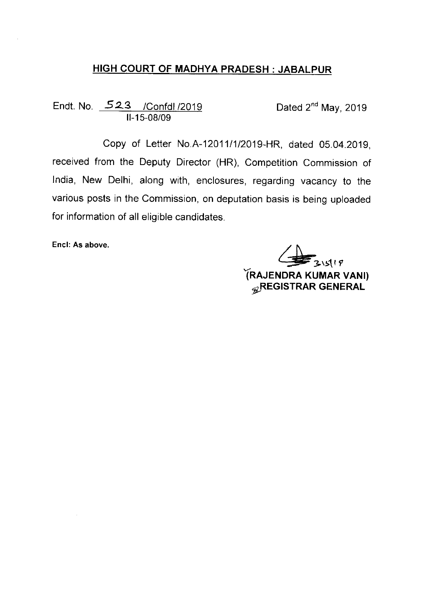### HIGH COURT OF MADHYA PRADESH JABALPUR

Endt. No. 513 /Confdl/2019 11-15-08/09

Dated 2<sup>nd</sup> May, 2019

Copy of Letter No.A-12011/1/2019-HR, dated 05.04.2019, received from the Deputy Director (HR), Competition Commission of India, New Delhi, along with, enclosures, regarding vacancy to the various posts in the Commission, on deputation basis is being uploaded for information of all eligible candidates.

Encl: As above.

 $\frac{1}{2}$  3 \  $5$ (1 P TRAJENDRA KUMAR VANl) **GREGISTRAR GENERAL**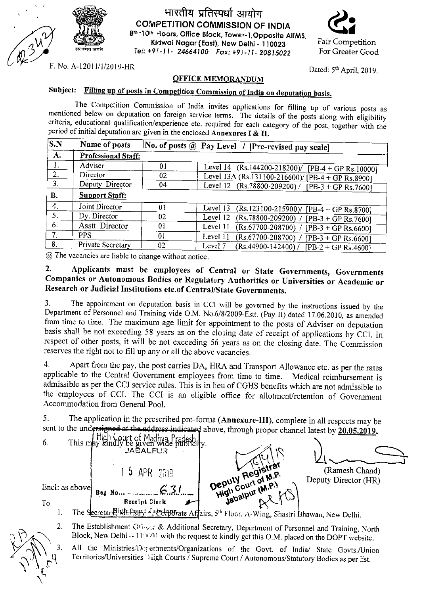

#### भारतीय प्रतिस्पर्धा आयोग COMPETITION COMMISSION OF INDIA 8th-10th .iloors, Office Block, Tower-1, Opposite AllMS, Kidwai Nagar (East), New Delhi -110023 Tell: +9l-11-24664100 Fax: +9:-11-20815022



Dated:  $5<sup>th</sup>$  April, 2019.

Fair Competition For Greater Good

F. No. A-12011/1/2019-HR

#### OFFICE MEMORANDUM

# Subject: Filling up of posts in Competition Commission of India on deputation basis.

The Competition Commission of India invites applications for filling up of various posts as mentioned below on deputation on foreign service terms. The details of the posts along with eligibility criteria, educational qualification/experience etc. required for each category of the post, together with the period of initial deputation are given in the enclosed Annexures I &  $II$ .

| $^{\prime}$ S.N | Name of posts         |    | No. of posts $\omega$ Pay Level / [Pre-revised pay scale]      |
|-----------------|-----------------------|----|----------------------------------------------------------------|
| A.              | Professional Staff:   |    |                                                                |
| Ι.              | Adviser               | 01 | Level 14 (Rs.144200-218200)/ [PB-4 + GP Rs.10000]              |
| 2.              | Director              | 02 | Level 13A (Rs.131100-216600)/ $\overline{PB}$ -4 + GP Rs.89001 |
| 3 <sub>1</sub>  | Deputy Director       | 04 | Level 12 (Rs.78800-209200) / [PB-3 + GP Rs.7600]               |
| <b>B.</b>       | <b>Support Staff:</b> |    |                                                                |
| 4.              | Joint Director        | 01 | Level 13<br>$(Rs.123100-215900)/[PB-4+GPRs.8700]$              |
| 5.              | Dy. Director          | 02 | Level 12 (Rs.78800-209200) /<br>$[PB-3 + GP Rs.7600]$          |
| 6.              | Asstt. Director       | 01 | Level 11<br>(Rs.67700-208700) /<br>$[PB-3 + GP Rs.6600]$       |
| 7.              | <b>PPS</b>            | 01 | Level 11<br>(Rs.67700-208700) /<br>$[PB-3 + GP Rs.6600]$       |
| 8.              | Private Secretary     | 02 | Level 7<br>$(Rs.44900-142400)/$<br>$[PB-2 + GP Rs.4600]$       |

@ The vacancies are liable to change without notice.

#### 2. Applicants must be employees of Central or State Governments, Governments Companies or Autonomous Bodies or Regulatory Authorities or Universities or Academic or Research or Judicial Institutions etc.of Central/State Governments.

3. The appointment on deputation basis in CCI will be governed by the instructions issued by the Department of Personnel and Training vide O.M. No.6/8/2009-Estt. (Pay II) dated 17.06.2010, as amended from time to time. The maximum age limit for appointment to the posts of Adviser on deputation basis shall be not exceeding 58 years as on the closing date of receipt of applications by CCI. In respect of other posts, it will be not exceeding 56 years as on the closing date. The Commission reserves the right not to fill up any or all the above vacancies.

4. Apart from the pay, the post carries DA, HRA and Transport Allowance etc. as per the rates applicable to the Central Government employees from time to time. Medical reimbursement is admissible as per the CCI service rules. This is in lieu of CGHS benefits which are not admissible to the employees of CCI. The CCI is an eligible office for allotment/retention of Government Accommodation from General Pool.

5. The application in the prescribed pro-forma (Annexure-III), complete in all respects may be sent to the undersigned at the address indicated above, through proper channel latest by  $20.05.2019$ .



- 1.
- 2. The Establishment Otines: & Additional Secretary, Department of Personnel and Training, North Block, New Delhi -- 11 0001 with the request to kindly get this O.M. placed on the DOPT website.
	- All the Ministries.'Departments/Organizations of the Govt. of India/ State Govts./Union Territories/Universities High Courts / Supreme Court / Autonomous/Statutory Bodies as per list.

3.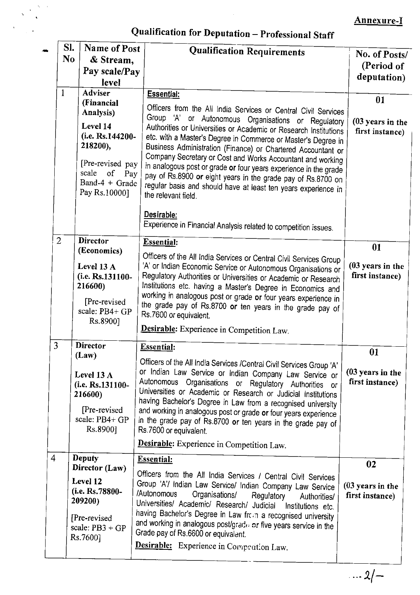# Annexure-I

# Qualification for Deputation - Professional Staff

|                | SI.                                     | Name of Post                                                                                                                                  | <b>Qualification Requirements</b>                                                                                                                                                                                                                                                                                                                                                                                                                                                                                                                                                                                                          | No. of Posts/                             |  |  |
|----------------|-----------------------------------------|-----------------------------------------------------------------------------------------------------------------------------------------------|--------------------------------------------------------------------------------------------------------------------------------------------------------------------------------------------------------------------------------------------------------------------------------------------------------------------------------------------------------------------------------------------------------------------------------------------------------------------------------------------------------------------------------------------------------------------------------------------------------------------------------------------|-------------------------------------------|--|--|
|                | N <sub>0</sub>                          | & Stream,                                                                                                                                     |                                                                                                                                                                                                                                                                                                                                                                                                                                                                                                                                                                                                                                            | (Period of                                |  |  |
|                |                                         | Pay scale/Pay                                                                                                                                 |                                                                                                                                                                                                                                                                                                                                                                                                                                                                                                                                                                                                                                            | deputation)                               |  |  |
|                | level<br><b>Adviser</b><br>$\mathbf{1}$ |                                                                                                                                               |                                                                                                                                                                                                                                                                                                                                                                                                                                                                                                                                                                                                                                            |                                           |  |  |
|                |                                         | (Financial<br>Analysis)<br>Level 14<br>(i.e. Rs.144200-<br>218200),<br>[Pre-revised pay<br>scale<br>of Pay<br>Band-4 + Grade<br>Pay Rs.100001 | <b>Essential:</b><br>Officers from the All India Services or Central Civil Services<br>Group 'A' or Autonomous Organisations or Regulatory<br>Authorities or Universities or Academic or Research Institutions<br>etc. with a Master's Degree in Commerce or Master's Degree in<br>Business Administration (Finance) or Chartered Accountant or<br>Company Secretary or Cost and Works Accountant and working<br>in analogous post or grade or four years experience in the grade<br>pay of Rs.8900 or eight years in the grade pay of Rs.8700 on<br>regular basis and should have at least ten years experience in<br>the relevant field. | 01<br>(03 years in the<br>first instance) |  |  |
|                |                                         |                                                                                                                                               | Desirable:<br>Experience in Financial Analysis related to competition issues.                                                                                                                                                                                                                                                                                                                                                                                                                                                                                                                                                              |                                           |  |  |
|                | $\overline{2}$                          | <b>Director</b>                                                                                                                               | <b>Essential:</b>                                                                                                                                                                                                                                                                                                                                                                                                                                                                                                                                                                                                                          | 01                                        |  |  |
|                |                                         | (Economics)<br>Level 13 $A$<br>(i.e. Rs.131100-<br>216600)<br>[Pre-revised]<br>scale: PB4+ GP<br>Rs.8900]                                     | Officers of the All India Services or Central Civil Services Group<br>'A' or Indian Economic Service or Autonomous Organisations or<br>Regulatory Authorities or Universities or Academic or Research<br>Institutions etc. having a Master's Degree in Economics and<br>working in analogous post or grade or four years experience in<br>the grade pay of Rs.8700 or ten years in the grade pay of<br>Rs.7600 or equivalent.                                                                                                                                                                                                              | (03 years in the<br>first instance)       |  |  |
|                |                                         |                                                                                                                                               | Desirable: Experience in Competition Law.                                                                                                                                                                                                                                                                                                                                                                                                                                                                                                                                                                                                  |                                           |  |  |
| 3              |                                         | <b>Director</b><br>(Law)                                                                                                                      | <b>Essential:</b>                                                                                                                                                                                                                                                                                                                                                                                                                                                                                                                                                                                                                          | 01                                        |  |  |
|                |                                         | Level 13 $\bf{A}$<br>(i.e. Rs.131100-<br>216600)<br>[Pre-revised]<br>scale: PB4+ GP<br>Rs.8900]                                               | Officers of the All India Services /Central Civil Services Group 'A'<br>or Indian Law Service or Indian Company Law Service or<br>Autonomous Organisations or Regulatory Authorities or<br>Universities or Academic or Research or Judicial Institutions<br>having Bachelor's Degree in Law from a recognised university<br>and working in analogous post or grade or four years experience<br>in the grade pay of Rs.8700 or ten years in the grade pay of<br>Rs.7600 or equivalent.                                                                                                                                                      | (03 years in the<br>first instance)       |  |  |
|                |                                         |                                                                                                                                               | Desirable: Experience in Competition Law.                                                                                                                                                                                                                                                                                                                                                                                                                                                                                                                                                                                                  |                                           |  |  |
| $\overline{4}$ |                                         | <b>Deputy</b><br>Director (Law)                                                                                                               | <b>Essential:</b><br>Officers from the All India Services / Central Civil Services                                                                                                                                                                                                                                                                                                                                                                                                                                                                                                                                                         | 02                                        |  |  |
|                |                                         | Level 12<br>(i.e. Rs.78800-<br>209200)<br>[Pre-revised]<br>scale: $PB3 + GP$<br>Rs.7600]                                                      | Group 'A'/ Indian Law Service/ Indian Company Law Service<br>/Autonomous<br>Organisations/<br>Regulatory<br>Authorities/<br>Universities/ Academic/ Research/ Judicial<br>Institutions etc.<br>having Bachelor's Degree in Law from a recognised university<br>and working in analogous post/grade or five years service in the<br>Grade pay of Rs.6600 or equivalent.<br>Desirable: Experience in Competition Law.                                                                                                                                                                                                                        | $(03$ years in the<br>first instance)     |  |  |
|                |                                         |                                                                                                                                               |                                                                                                                                                                                                                                                                                                                                                                                                                                                                                                                                                                                                                                            |                                           |  |  |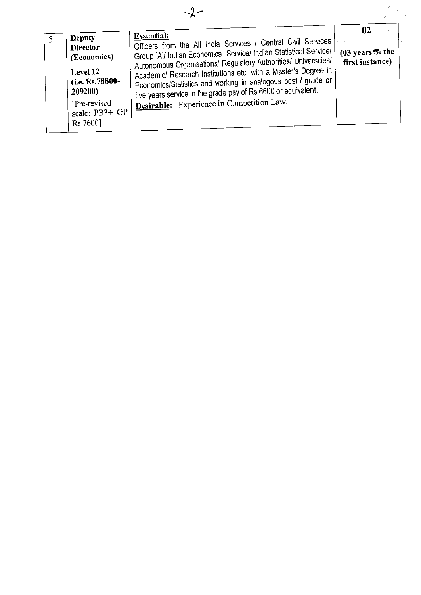| Deputy                                      | <b>Essential:</b>                                                                                                                                                                                    | 02                                          |
|---------------------------------------------|------------------------------------------------------------------------------------------------------------------------------------------------------------------------------------------------------|---------------------------------------------|
| <b>Director</b><br>(Economics)              | Officers from the All India Services / Central Civil Services<br>Group 'A'/ Indian Economics Service/ Indian Statistical Service/<br>Autonomous Organisations/ Regulatory Authorities/ Universities/ | $(03 \text{ years})$ the<br>first instance) |
| Level 12<br>(i.e. Rs. $78800 -$<br>209200)  | Academic/ Research Institutions etc. with a Master's Degree in<br>Economics/Statistics and working in analogous post / grade or<br>five years service in the grade pay of Rs.6600 or equivalent.     |                                             |
| [Pre-revised]<br>scale: PB3+ GP<br>Rs.7600] | Desirable: Experience in Competition Law.                                                                                                                                                            |                                             |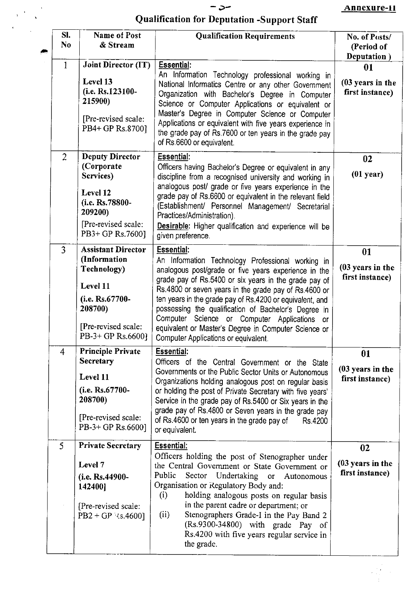## $-5-$ Qualification for Deputation -Support Staff

 $\boldsymbol{\cdot}$ 

 $\label{eq:2} \frac{1}{\sqrt{2}}\left(\frac{1}{\sqrt{2}}\right)^{2}=\frac{1}{\sqrt{2}}\left(\frac{1}{\sqrt{2}}\right)^{2}$ 

| SI.<br>N <sub>0</sub><br>$\langle \overline{a} \rangle$ | <b>Name of Post</b><br>& Stream                                                                                                                | <b>Qualification Requirements</b>                                                                                                                                                                                                                                                                                                                                                                                                                                                                                    | No. of Posts/<br>(Period of<br>Deputation)           |
|---------------------------------------------------------|------------------------------------------------------------------------------------------------------------------------------------------------|----------------------------------------------------------------------------------------------------------------------------------------------------------------------------------------------------------------------------------------------------------------------------------------------------------------------------------------------------------------------------------------------------------------------------------------------------------------------------------------------------------------------|------------------------------------------------------|
| 1                                                       | Joint Director (IT)<br>Level 13<br>(i.e. Rs.123100-<br>215900)<br>[Pre-revised scale:<br>PB4+ GP Rs.8700]                                      | Essential:<br>An Information Technology professional working in<br>National Informatics Centre or any other Government<br>Organization with Bachelor's Degree in Computer<br>Science or Computer Applications or equivalent or<br>Master's Degree in Computer Science or Computer<br>Applications or equivalent with five years experience in<br>the grade pay of Rs.7600 or ten years in the grade pay<br>of Rs.6600 or equivalent.                                                                                 | 01<br>(03 years in the<br>first instance)            |
| $\overline{2}$                                          | <b>Deputy Director</b><br>(Corporate)<br>Services)<br>Level 12<br>(i.e. Rs.78800-<br>209200)<br>[Pre-revised scale:<br>PB3+ GP Rs.7600]        | Essential:<br>Officers having Bachelor's Degree or equivalent in any<br>discipline from a recognised university and working in<br>analogous post/ grade or five years experience in the<br>grade pay of Rs.6600 or equivalent in the relevant field<br>(Establishment/ Personnel Management/ Secretarial<br>Practices/Administration).<br>Desirable: Higher qualification and experience will be<br>given preference.                                                                                                | 02<br>$(01$ year)                                    |
| $\overline{3}$                                          | <b>Assistant Director</b><br>(Information<br>Technology)<br>Level 11<br>(i.e. Rs.67700-<br>208700)<br>[Pre-revised scale:<br>PB-3+ GP Rs.6600] | <b>Essential:</b><br>An Information Technology Professional working in<br>analogous post/grade or five years experience in the<br>grade pay of Rs.5400 or six years in the grade pay of<br>Rs.4800 or seven years in the grade pay of Rs.4600 or<br>ten years in the grade pay of Rs.4200 or equivalent, and<br>possessing the qualification of Bachelor's Degree in<br>Computer Science or Computer Applications or<br>equivalent or Master's Degree in Computer Science or<br>Computer Applications or equivalent. | 01<br>$(03$ years in the<br>first instance)          |
| $\overline{4}$                                          | <b>Principle Private</b><br><b>Secretary</b><br>Level 11<br>(i.e. Rs.67700-<br>208700)<br>[Pre-revised scale:<br>PB-3+ GP Rs.6600]             | <b>Essential:</b><br>Officers of the Central Government or the State<br>Governments or the Public Sector Units or Autonomous<br>Organizations holding analogous post on regular basis<br>or holding the post of Private Secretary with five years'<br>Service in the grade pay of Rs.5400 or Six years in the<br>grade pay of Rs.4800 or Seven years in the grade pay<br>of Rs.4600 or ten years in the grade pay of<br>Rs 4200<br>or equivalent.                                                                    | 01<br>(03 years in the<br>first instance)            |
| 5                                                       | <b>Private Secretary</b><br>Level 7<br>(i.e. Rs.44900-<br>142400]<br>[Pre-revised scale:<br>PB2 + GP $\{s.4600\}$                              | <b>Essential:</b><br>Officers holding the post of Stenographer under<br>the Central Government or State Government or<br>Public<br>Sector Undertaking or Autonomous<br>Organisation or Regulatory Body and:<br>holding analogous posts on regular basis<br>(i)<br>in the parent cadre or department; or<br>Stenographers Grade-I in the Pay Band 2<br>(ii)<br>(Rs.9300-34800) with grade Pay of<br>Rs.4200 with five years regular service in<br>the grade.                                                          | 02<br>$(03 \text{ years in the})$<br>first instance) |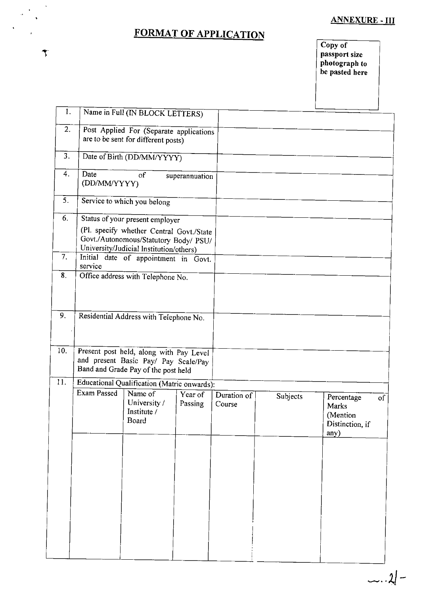#### **ANNEXURE - III**

# FORMAT OF APPLICATION

l,

 $\hat{\mathbf{r}}$ 

 $\hat{\mathbf{v}}$ 

Copy of passport size<br>photograph to<br>be pasted here

| 1.  |                      | Name in Full (IN BLOCK LETTERS)                                                                                              |                    |                       |          |                                                            |    |
|-----|----------------------|------------------------------------------------------------------------------------------------------------------------------|--------------------|-----------------------|----------|------------------------------------------------------------|----|
|     |                      |                                                                                                                              |                    |                       |          |                                                            |    |
| 2.  |                      | Post Applied For (Separate applications<br>are to be sent for different posts)                                               |                    |                       |          |                                                            |    |
| 3.  |                      | Date of Birth (DD/MM/YYYY)                                                                                                   |                    |                       |          |                                                            |    |
| 4.  | Date<br>(DD/MM/YYYY) | of                                                                                                                           | superannuation     |                       |          |                                                            |    |
| 5.  |                      | Service to which you belong                                                                                                  |                    |                       |          |                                                            |    |
| 6.  |                      | Status of your present employer                                                                                              |                    |                       |          |                                                            |    |
|     |                      | (Pl. specify whether Central Govt./State<br>Govt./Autonomous/Statutory Body/ PSU/<br>University/Judicial Institution/others) |                    |                       |          |                                                            |    |
| 7.  |                      | Initial date of appointment in Govt.                                                                                         |                    |                       |          |                                                            |    |
| 8.  | service              | Office address with Telephone No.                                                                                            |                    |                       |          |                                                            |    |
|     |                      |                                                                                                                              |                    |                       |          |                                                            |    |
| 9.  |                      | Residential Address with Telephone No.                                                                                       |                    |                       |          |                                                            |    |
| 10. |                      | Present post held, along with Pay Level<br>and present Basic Pay/ Pay Scale/Pay<br>Band and Grade Pay of the post held       |                    |                       |          |                                                            |    |
| 11. |                      | Educational Qualification (Matric onwards):                                                                                  |                    |                       |          |                                                            |    |
|     | <b>Exam Passed</b>   | Name of<br>University /<br>Institute /<br>Board                                                                              | Year of<br>Passing | Duration of<br>Course | Subjects | Percentage<br>Marks<br>(Mention<br>Distinction, if<br>any) | of |
|     |                      |                                                                                                                              |                    |                       |          |                                                            |    |
|     |                      |                                                                                                                              |                    |                       |          |                                                            |    |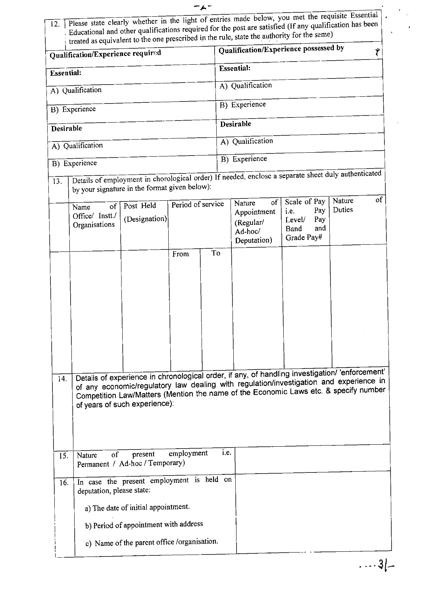| 12.                               | Please state clearly whether in the light of entries made below, you met the requisite Essential  .<br>Educational and other qualifications required for the post are satisfied (If any qualification has been<br>treated as equivalent to the one prescribed in the rule, state the authority for the same)<br>Qualification/Experience possessed by |                            |                   |    |           |                                                                  |                                                                           |                  |    |
|-----------------------------------|-------------------------------------------------------------------------------------------------------------------------------------------------------------------------------------------------------------------------------------------------------------------------------------------------------------------------------------------------------|----------------------------|-------------------|----|-----------|------------------------------------------------------------------|---------------------------------------------------------------------------|------------------|----|
| Qualification/Experience required |                                                                                                                                                                                                                                                                                                                                                       |                            |                   |    |           |                                                                  |                                                                           |                  | Ý  |
| <b>Essential:</b>                 |                                                                                                                                                                                                                                                                                                                                                       |                            |                   |    |           | <b>Essential:</b>                                                |                                                                           |                  |    |
|                                   | A) Qualification                                                                                                                                                                                                                                                                                                                                      |                            |                   |    |           | A) Qualification                                                 |                                                                           |                  |    |
|                                   | B) Experience                                                                                                                                                                                                                                                                                                                                         |                            |                   |    |           | B) Experience                                                    |                                                                           |                  |    |
|                                   |                                                                                                                                                                                                                                                                                                                                                       |                            |                   |    | Desirable |                                                                  |                                                                           |                  |    |
| Desirable                         |                                                                                                                                                                                                                                                                                                                                                       |                            |                   |    |           | A) Qualification                                                 |                                                                           |                  |    |
|                                   | A) Qualification                                                                                                                                                                                                                                                                                                                                      |                            |                   |    |           |                                                                  |                                                                           |                  |    |
|                                   | B) Experience                                                                                                                                                                                                                                                                                                                                         |                            |                   |    |           | B) Experience                                                    |                                                                           |                  |    |
| 13.                               | Details of employment in chorological order) If needed, enclose a separate sheet duly authenticated<br>by your signature in the format given below):                                                                                                                                                                                                  |                            |                   |    |           |                                                                  |                                                                           |                  |    |
|                                   | of<br>Name<br>Office/ Instt./<br>Organisations                                                                                                                                                                                                                                                                                                        | Post Held<br>(Designation) | Period of service |    |           | of <sub>l</sub><br>Nature<br>Appointment<br>(Regular/<br>Ad-hoc/ | Scale of Pay<br>Pay<br>i.e.<br>Pay<br>Level/<br>and<br>Band<br>Grade Pay# | Nature<br>Duties | of |
|                                   |                                                                                                                                                                                                                                                                                                                                                       |                            | From              | To |           | Deputation)                                                      |                                                                           |                  |    |
|                                   |                                                                                                                                                                                                                                                                                                                                                       |                            |                   |    |           |                                                                  |                                                                           |                  |    |
| 14.                               | Details of experience in chronological order, if any, of handling investigation/ 'enforcement'<br>of any economic/regulatory law dealing with regulation/investigation and experience in<br>Competition Law/Matters (Mention the name of the Economic Laws etc. & specify number<br>of years of such experience):                                     |                            |                   |    |           |                                                                  |                                                                           |                  |    |
| 15.                               | i.e.<br>employment<br>of<br>present<br>Nature<br>Permanent / Ad-hoc / Temporary)                                                                                                                                                                                                                                                                      |                            |                   |    |           |                                                                  |                                                                           |                  |    |
| 16.                               | In case the present employment is held on<br>deputation, please state:                                                                                                                                                                                                                                                                                |                            |                   |    |           |                                                                  |                                                                           |                  |    |
|                                   | a) The date of initial appointment.                                                                                                                                                                                                                                                                                                                   |                            |                   |    |           |                                                                  |                                                                           |                  |    |
|                                   | b) Period of appointment with address                                                                                                                                                                                                                                                                                                                 |                            |                   |    |           |                                                                  |                                                                           |                  |    |
|                                   | c) Name of the parent office /organisation.                                                                                                                                                                                                                                                                                                           |                            |                   |    |           |                                                                  |                                                                           |                  |    |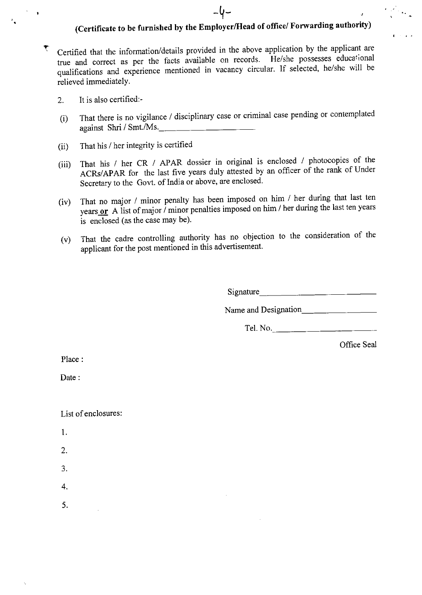# (Certificate to be furnished by the Employer/Head of office/ Forwarding authority)

-4-

- $\tau$  Certified that the information/details provided in the above application by the applicant are true and correct as per the facts available on records. He/she possesses educational qualifications and experience mentioned in vacancy circular. If selected, he/she will be relieved immediately.
	- 2. It is also certified:-
	- (i) That there is no vigilance / disciplinary case or criminal case pending or contemplated  $against Shri / Smt. /Ms.$
	- (ii) That his / her integrity is certified
	- (iii) That his  $\ell$  her CR  $\ell$  APAR dossier in original is enclosed  $\ell$  photocopies of the ACRs/APAR for the last five years duly attested by an officer of the rank of Under Secretary to the Govt. of India or above, are enclosed.
	- ( $\text{iv}$ ) That no major / minor penalty has been imposed on  $\lim_{k \to \infty} t$  for during the last ten vears years  $or$  A list of major / minor penalties imposed on  $m_n$  her during the last ten years is enclosed (as the case may be).
	- (v) That the cadre controlling authority has no objection to the consideration of the applicant for the post mentioned in this advertisement.

Signature and the state of the state of the state of the state of the state of the state of the state of the state of the state of the state of the state of the state of the state of the state of the state of the state of

Name and Designation

Tel. No.

Office Seal

Place:

Date:

List of enclosures:

- 1.
- 2.
- 3.
- 4.
- 5.